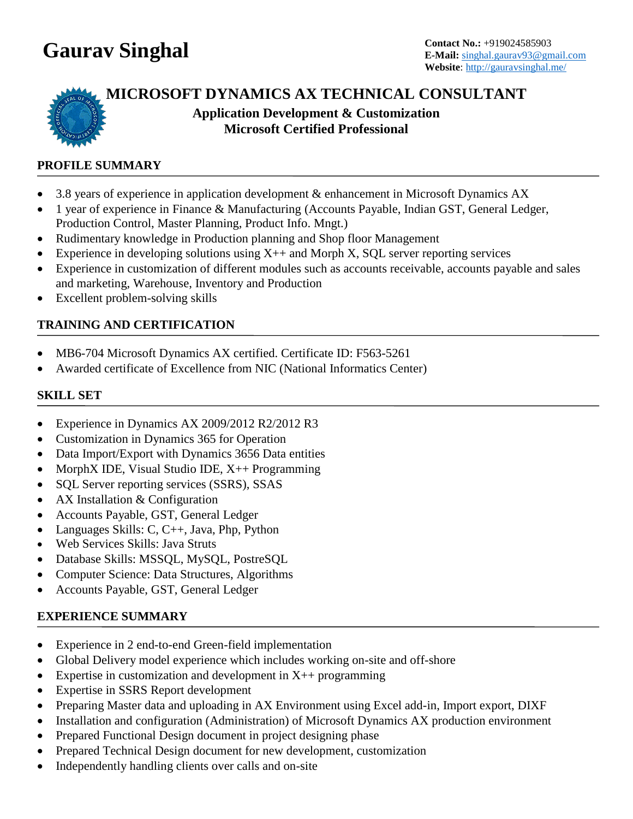# **Gaurav Singhal Contact No.:** +919024585903

# **MICROSOFT DYNAMICS AX TECHNICAL CONSULTANT**

**Application Development & Customization Microsoft Certified Professional**

# **PROFILE SUMMARY**

- 3.8 years of experience in application development & enhancement in Microsoft Dynamics AX
- 1 year of experience in Finance & Manufacturing (Accounts Payable, Indian GST, General Ledger, Production Control, Master Planning, Product Info. Mngt.)
- Rudimentary knowledge in Production planning and Shop floor Management
- Experience in developing solutions using  $X++$  and Morph X, SQL server reporting services
- Experience in customization of different modules such as accounts receivable, accounts payable and sales and marketing, Warehouse, Inventory and Production
- Excellent problem-solving skills

# **TRAINING AND CERTIFICATION**

- MB6-704 Microsoft Dynamics AX certified. Certificate ID: F563-5261
- Awarded certificate of Excellence from NIC (National Informatics Center)

#### **SKILL SET**

- Experience in Dynamics AX 2009/2012 R2/2012 R3
- Customization in Dynamics 365 for Operation
- Data Import/Export with Dynamics 3656 Data entities
- MorphX IDE, Visual Studio IDE, X++ Programming
- SQL Server reporting services (SSRS), SSAS
- AX Installation & Configuration
- Accounts Payable, GST, General Ledger
- Languages Skills: C, C++, Java, Php, Python
- Web Services Skills: Java Struts
- Database Skills: MSSQL, MySQL, PostreSQL
- Computer Science: Data Structures, Algorithms
- Accounts Payable, GST, General Ledger

# **EXPERIENCE SUMMARY**

- Experience in 2 end-to-end Green-field implementation
- Global Delivery model experience which includes working on-site and off-shore
- Expertise in customization and development in  $X++$  programming
- Expertise in SSRS Report development
- Preparing Master data and uploading in AX Environment using Excel add-in, Import export, DIXF
- Installation and configuration (Administration) of Microsoft Dynamics AX production environment
- Prepared Functional Design document in project designing phase
- Prepared Technical Design document for new development, customization
- Independently handling clients over calls and on-site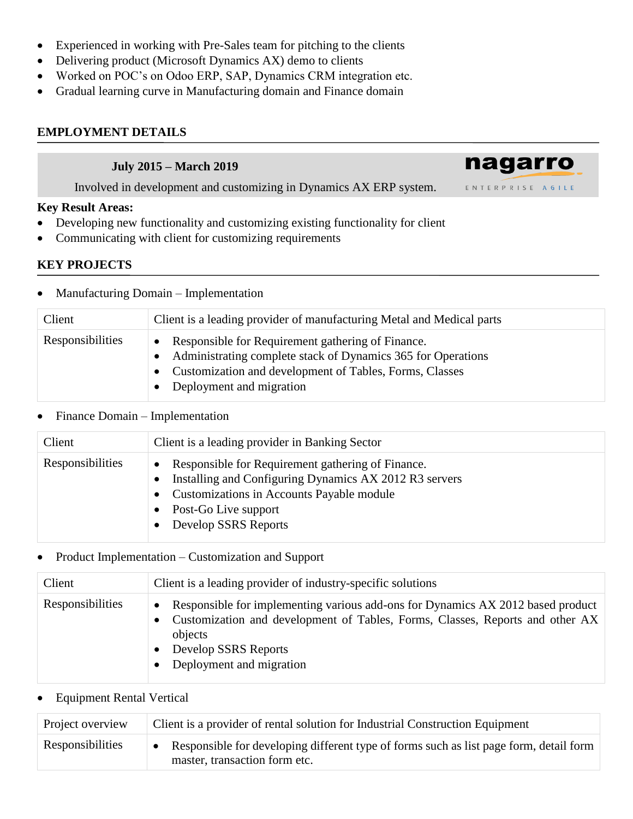- Experienced in working with Pre-Sales team for pitching to the clients
- Delivering product (Microsoft Dynamics AX) demo to clients
- Worked on POC's on Odoo ERP, SAP, Dynamics CRM integration etc.
- Gradual learning curve in Manufacturing domain and Finance domain

# **EMPLOYMENT DETAILS**

#### **July 2015 – March 2019**

Involved in development and customizing in Dynamics AX ERP system.

#### **Key Result Areas:**

- Developing new functionality and customizing existing functionality for client
- Communicating with client for customizing requirements

# **KEY PROJECTS**

• Manufacturing Domain – Implementation

| Client           | Client is a leading provider of manufacturing Metal and Medical parts                                                                                                                                            |
|------------------|------------------------------------------------------------------------------------------------------------------------------------------------------------------------------------------------------------------|
| Responsibilities | • Responsible for Requirement gathering of Finance.<br>• Administrating complete stack of Dynamics 365 for Operations<br>• Customization and development of Tables, Forms, Classes<br>• Deployment and migration |

nagarro

ENTERPRISE AGILE

#### • Finance Domain – Implementation

| Client           | Client is a leading provider in Banking Sector                                                                                                                                                             |
|------------------|------------------------------------------------------------------------------------------------------------------------------------------------------------------------------------------------------------|
| Responsibilities | Responsible for Requirement gathering of Finance.<br>Installing and Configuring Dynamics AX 2012 R3 servers<br>• Customizations in Accounts Payable module<br>Post-Go Live support<br>Develop SSRS Reports |

# • Product Implementation – Customization and Support

| Client           | Client is a leading provider of industry-specific solutions                                                                                                                                                                                  |
|------------------|----------------------------------------------------------------------------------------------------------------------------------------------------------------------------------------------------------------------------------------------|
| Responsibilities | Responsible for implementing various add-ons for Dynamics AX 2012 based product<br>$\bullet$<br>Customization and development of Tables, Forms, Classes, Reports and other AX<br>objects<br>Develop SSRS Reports<br>Deployment and migration |

# • Equipment Rental Vertical

| Project overview | Client is a provider of rental solution for Industrial Construction Equipment                                           |
|------------------|-------------------------------------------------------------------------------------------------------------------------|
| Responsibilities | Responsible for developing different type of forms such as list page form, detail form<br>master, transaction form etc. |